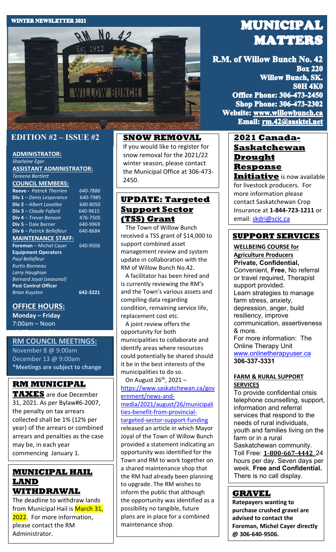#### **WINTER NEWSLETTER 2021**



## **EDITION #2 – ISSUE #2**

## **ADMINISTRATOR:**

*Sharleine Eger* **ASSISTANT ADMINISTRATOR:** *Tereena Bartlett*

#### **COUNCIL MEMBERS:**

**Reeve -** *Patrick Therrien* 640-7886<br>**Div 1** – Denis Lesperance 640-7985 **Div 1** – *Denis Lesperance* **Div 2** – *Albert Lavallee* 640-8050 **Div 3** – *Claude Fafard* 640-9615 **Div 4** – *Trevor Benson* 476-7505<br>**Div 5** – Dale Berner 19969 **Div 5** – Dale Berner **Div 6** – *Patrick Bellefleur* 640-8684 **MAINTENANCE STAFF: Foreman** – Michel Cayer 640-9506 **Equipment Operators** 

*Paul Bellefleur Kurtis Bonneau Larry Haughian Bernard Joyal (seasonal)* **Pest Control Officer** *Brian Kuysten* **642-3221**

## **OFFICE HOURS:**

**Monday – Friday** 7:00am – Noon

12:45pm – 4:30pm

#### **RM COUNCIL MEETINGS:**

November 8 @ 9:00am December 13 @ 9:00am **\*Meetings are subject to change**

## **RM MUNICIPAL**

**TAXES** are due December 31, 2021. As per Bylaw#6-2007, the penalty on tax arrears collected shall be 1% (12% per year) of the arrears or combined arrears and penalties as the case may be, in each year commencing January 1.

## **MUNICIPAL HAIL LAND WITHDRAWAL**

The deadline to withdraw lands from Municipal Hail is March 31, 2022. For more information, please contact the RM Administrator.

#### **SNOW REMOVAL**

If you would like to register for snow removal for the 2021/22 winter season, please contact the Municipal Office at 306-473- 2450.

## **UPDATE: Targeted Support Sector (TSS) Grant**

 The Town of Willow Bunch received a TSS grant of \$14,000 to support combined asset management review and system update in collaboration with the RM of Willow Bunch No.42.

 A facilitator has been hired and is currently reviewing the RM's and the Town's various assets and compiling data regarding condition, remaining service life, replacement cost etc.

 A joint review offers the opportunity for both municipalities to collaborate and identify areas where resources could potentially be shared should it be in the best interests of the municipalities to do so.

On August 26<sup>th</sup>, 2021 [https://www.saskatchewan.ca/gov](https://www.saskatchewan.ca/government/news-and-media/2021/august/26/municipalities-benefit-from-provincial-targeted-sector-support-funding) [ernment/news-and](https://www.saskatchewan.ca/government/news-and-media/2021/august/26/municipalities-benefit-from-provincial-targeted-sector-support-funding)[media/2021/august/26/municipali](https://www.saskatchewan.ca/government/news-and-media/2021/august/26/municipalities-benefit-from-provincial-targeted-sector-support-funding) [ties-benefit-from-provincial](https://www.saskatchewan.ca/government/news-and-media/2021/august/26/municipalities-benefit-from-provincial-targeted-sector-support-funding)[targeted-sector-support-funding](https://www.saskatchewan.ca/government/news-and-media/2021/august/26/municipalities-benefit-from-provincial-targeted-sector-support-funding) released an article in which Mayor Joyal of the Town of Willow Bunch provided a statement indicating an opportunity was identified for the Town and RM to work together on a shared maintenance shop that the RM had already been planning to upgrade. The RM wishes to inform the public that although the opportunity was identified as a possibility no tangible, future plans are in place for a combined maintenance shop.

# **MUNICIPAL MATTERS**

R.M. of Willow Bunch No. 42 **Box 220 Willow Bunch, SK. S0H 4K0 Office Phone: 306-473-2450 Shop Phone: 306-473-2302** Website: www.willowbunch.ca Email: rm.42@sasktel.net

## **2021 Canada-Saskatchewan Drought Response**

**Initiative** is now available for livestock producers. For more information please contact Saskatchewan Crop Insurance at **1-844-723-1211** or email: [skdri@scic.ca](mailto:skdri@scic.ca)

## **SUPPORT SERVICES**

**WELLBEING COURSE for Agriculture Producers Private, Confidential,** Convenient, **Free**, No referral or travel required, Therapist support provided. Learn strategies to manage farm stress, anxiety, depression, anger, build resiliency, improve communication, assertiveness & more. For more information: The Online Therapy Unit [www.onlinetherapyuser.ca](http://www.onlinetherapyuser.ca/)  **306-337-3331**

#### **FARM & RURAL SUPPORT SERVICES**

To provide confidential crisis telephone counselling, support, information and referral services that respond to the needs of rural individuals, youth and families living on the farm or in a rural Saskatchewan community. Toll Free: **[1-800-667-4442](tel:18006674442)** 24 hours per day. Seven days per week. **Free and Confidential.** There is no call display.

## **GRAVEL**

**Ratepayers wanting to purchase crushed gravel are advised to contact the Foreman, Michel Cayer directly @ 306-640-9506.**